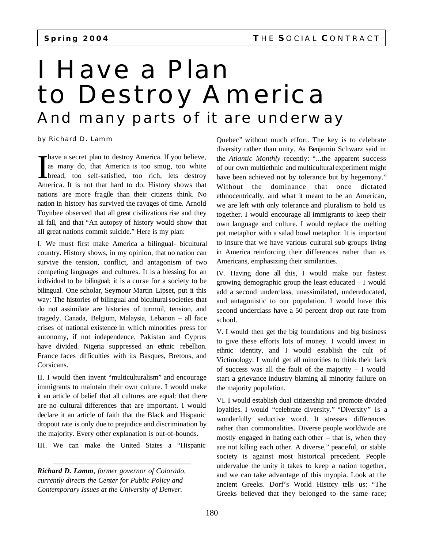## I Have a Plan to Destroy America *And many parts of it are underway*

by Richard D. Lamm

Thave a secret plan to destroy America. If you believe,<br>as many do, that America is too smug, too white<br>bread, too self-satisfied, too rich, lets destroy have a secret plan to destroy America. If you believe, as many do, that America is too smug, too white America. It is not that hard to do. History shows that nations are more fragile than their citizens think. No nation in history has survived the ravages of time. Arnold Toynbee observed that all great civilizations rise and they all fall, and that "An autopsy of history would show that all great nations commit suicide." Here is my plan:

I. We must first make America a bilingual- bicultural country. History shows, in my opinion, that no nation can survive the tension, conflict, and antagonism of two competing languages and cultures. It is a blessing for an individual to be bilingual; it is a curse for a society to be bilingual. One scholar, Seymour Martin Lipset, put it this way: The histories of bilingual and bicultural societies that do not assimilate are histories of turmoil, tension, and tragedy. Canada, Belgium, Malaysia, Lebanon – all face crises of national existence in which minorities press for autonomy, if not independence. Pakistan and Cyprus have divided. Nigeria suppressed an ethnic rebellion. France faces difficulties with its Basques, Bretons, and Corsicans.

II. I would then invent "multiculturalism" and encourage immigrants to maintain their own culture. I would make it an article of belief that all cultures are equal: that there are no cultural differences that are important. I would declare it an article of faith that the Black and Hispanic dropout rate is only due to prejudice and discrimination by the majority. Every other explanation is out-of-bounds.

III. We can make the United States a "Hispanic

\_\_\_\_\_\_\_\_\_\_\_\_\_\_\_\_\_\_\_\_\_\_\_\_\_\_\_\_\_\_\_\_\_\_\_\_\_\_

*Richard D. Lamm*, *former governor of Colorado, currently directs the Center for Public Policy and Contemporary Issues at the University of Denver.*

Quebec" without much effort. The key is to celebrate diversity rather than unity. As Benjamin Schwarz said in the *Atlantic Monthly* recently: "...the apparent success of our own multiethnic and multicultural experiment might have been achieved not by tolerance but by hegemony." Without the dominance that once dictated ethnocentrically, and what it meant to be an American, we are left with only tolerance and pluralism to hold us together. I would encourage all immigrants to keep their own language and culture. I would replace the melting pot metaphor with a salad bowl metaphor. It is important to insure that we have various cultural sub-groups living in America reinforcing their differences rather than as Americans, emphasizing their similarities.

IV. Having done all this, I would make our fastest growing demographic group the least educated – I would add a second underclass, unassimilated, undereducated, and antagonistic to our population. I would have this second underclass have a 50 percent drop out rate from school.

V. I would then get the big foundations and big business to give these efforts lots of money. I would invest in ethnic identity, and I would establish the cult of Victimology. I would get all minorities to think their lack of success was all the fault of the majority – I would start a grievance industry blaming all minority failure on the majority population.

VI. I would establish dual citizenship and promote divided loyalties. I would "celebrate diversity." "Diversity" is a wonderfully seductive word. It stresses differences rather than commonalities. Diverse people worldwide are mostly engaged in hating each other – that is, when they are not killing each other. A diverse," peaceful, or stable society is against most historical precedent. People undervalue the unity it takes to keep a nation together, and we can take advantage of this myopia. Look at the ancient Greeks. Dorf's World History tells us: "The Greeks believed that they belonged to the same race;